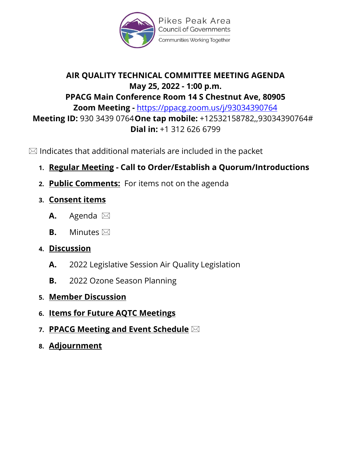

Pikes Peak Area **Council of Governments** Communities Working Together

# **AIR QUALITY TECHNICAL COMMITTEE MEETING AGENDA May 25, 2022 - 1:00 p.m. PPACG Main Conference Room 14 S Chestnut Ave, 80905 Zoom Meeting -** <https://ppacg.zoom.us/j/93034390764> **Meeting ID:** 930 3439 0764**One tap mobile:** +12532158782,,93034390764# **Dial in:** +1 312 626 6799

 $\boxtimes$  Indicates that additional materials are included in the packet

- **1. Regular Meeting - Call to Order/Establish a Quorum/Introductions**
- **2. Public Comments:** For items not on the agenda
- **3. Consent items** 
	- **A.** Agenda
	- **B.** Minutes
- **4. Discussion**
	- **A.** 2022 Legislative Session Air Quality Legislation
	- **B.** 2022 Ozone Season Planning
- **5. Member Discussion**
- **6. Items for Future AQTC Meetings**
- **7. PPACG Meeting and Event Schedule**
- **8. Adjournment**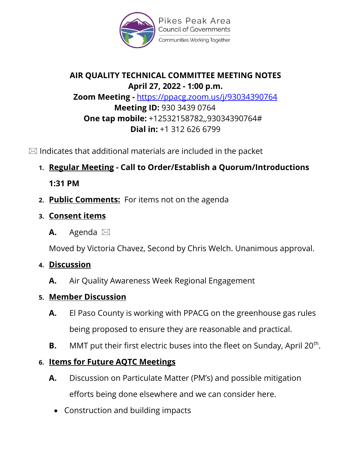

Pikes Peak Area **Council of Governments** Communities Working Together

## **AIR QUALITY TECHNICAL COMMITTEE MEETING NOTES April 27, 2022 - 1:00 p.m. Zoom Meeting -** <https://ppacg.zoom.us/j/93034390764> **Meeting ID:** 930 3439 0764 **One tap mobile:** +12532158782,,93034390764# **Dial in:** +1 312 626 6799

 $\boxtimes$  Indicates that additional materials are included in the packet

**1. Regular Meeting - Call to Order/Establish a Quorum/Introductions** 

**1:31 PM**

- **2. Public Comments:** For items not on the agenda
- **3. Consent items** 
	- **A.** Agenda

Moved by Victoria Chavez, Second by Chris Welch. Unanimous approval.

# **4. Discussion**

**A.** Air Quality Awareness Week Regional Engagement

# **5. Member Discussion**

- **A.** El Paso County is working with PPACG on the greenhouse gas rules being proposed to ensure they are reasonable and practical.
- **B.** MMT put their first electric buses into the fleet on Sunday, April 20<sup>th</sup>.

# **6. Items for Future AQTC Meetings**

- **A.** Discussion on Particulate Matter (PM's) and possible mitigation efforts being done elsewhere and we can consider here.
	- Construction and building impacts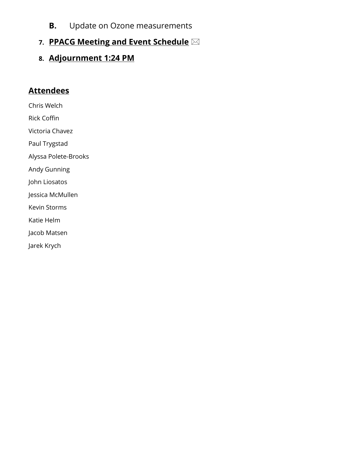**B.** Update on Ozone measurements

#### **7. PPACG Meeting and Event Schedule**

**8. Adjournment 1:24 PM**

#### **Attendees**

Chris Welch

Rick Coffin

Victoria Chavez

Paul Trygstad

Alyssa Polete-Brooks

Andy Gunning

John Liosatos

Jessica McMullen

Kevin Storms

Katie Helm

Jacob Matsen

Jarek Krych